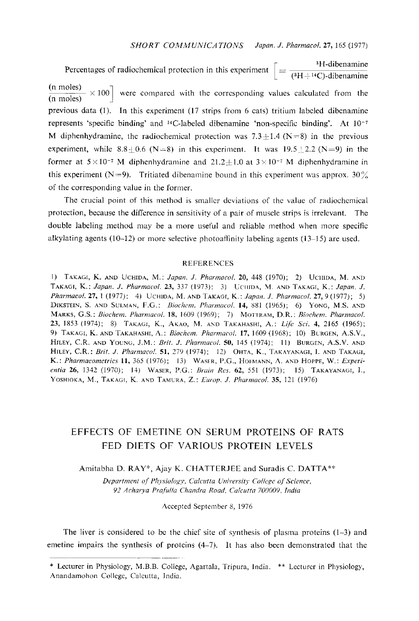Percentages of radiochemical protection in this experiment  $\left[ = \frac{^{3}H \text{-dibanamine}}{(^{3}H + ^{14}C) \text{-dibanamine}} \right]$  $\frac{(n \text{ moles})}{(n \text{ moles})} \times 100$  were compared with the corresponding values calculated from the previous data (1). In this experiment (17 strips from 6 cats) tritium labeled dibenamine represents 'specific binding' and  $^{14}$ C-labeled dibenamine 'non-specific binding'. At  $10^{-7}$ M diphenhydramine, the radiochemical protection was  $7.3 \pm 1.4$  (N=8) in the previous experiment, while  $8.8 \div 0.6$  (N=8) in this experiment. It was  $19.5 \div 2.2$  (N=9) in the former at  $5 \times 10^{-7}$  M diphenhydramine and  $21.2 \pm 1.0$  at  $3 \times 10^{-7}$  M diphenhydramine in this experiment (N=9). Tritiated dibenamine bound in this experiment was approx. 30% of the corresponding value in the former.

The crucial point of this method is smaller deviations of the value of radiochemical protection, because the difference in sensitivity of a pair of muscle strips is irrelevant. The double labeling method may be a more useful and reliable method when more specific alkylating agents (10-12) or more selective photoaffinity labeling agents  $(13-15)$  are used.

## **REFERENCES**

1) TAKAGI, K. AND UCHIDA, M.: Japan. J. Pharmacol. 20, 448 (1970); 2) UCHIDA, M. AND TAKAGI, K.: Japan. J. Pharmacol. 23, 337 (1973); 3) UCHIDA, M. AND TAKAGI, K.: Japan. J. *Pharmacol.* 27, 1 (1977): 4) UCHIDA, M. AND TAKAGI, K.: *Japan. J. Pharmacol.* 27, 9 (1977): 5) DIKSTEIN, S. AND SULMAN, F.G.: Biochem. Pharmacol. 14, 881 (1965); 6) YONG, M.S. AND MARKS, G.S.; Biochem. Pharmacol. 18, 1609 (1969); 7) MOTTRAM, D.R.; Biochem. Pharmacol. 23, 1853 (1974); 8) ТАКАGI, К., АКАО, М. АND ТАКАНАЗНІ, А.: Life Sci. 4, 2165 (1965); 9) TAKAGI, K. AND TAKAHASHI, A.: Biochem. Pharmacol. 17, 1609 (1968); 10) BURGEN, A.S.V., HILEY, C.R. AND YOUNG, J.M.: Brit. J. Pharmacol. 50, 145 (1974); 11) BURGEN, A.S.V. AND HILEY, C.R.: Brit. J. Pharmacol. 51, 279 (1974); 12) OHTA, K., TAKAYANAGI, I. AND TAKAGI, K.: Pharmacometrics 11, 365 (1976); 13) WASER, P.G., HOFMANN, A. AND HOPPE, W.: Experientia 26, 1342 (1970); 14) WASER, P.G.: Brain Res. 62, 551 (1973); 15) TAKAYANAGI, I., YOSHIOKA, M., TAKAGI, K. AND TAMURA, Z.: Europ. J. Pharmacol. 35, 121 (1976)

## EFFECTS OF EMETINE ON SERUM PROTEINS OF RATS FED DIETS OF VARIOUS PROTEIN LEVELS

Amitabha D. RAY\*, Ajay K. CHATTERJEE and Suradis C. DATTA\*\*

 Department of Physiology, Calcutta University College of Science, 92 Acharya Prafidla Chandra Road, Calcutta 700009, India

Accepted September 8, 1976

The liver is considered to be the chief site of synthesis of plasma proteins  $(1-3)$  and emetine impairs the synthesis of proteins (4-7). It has also been demonstrated that the

<sup>\*</sup> Lecturer in Physiology , M.B.B. College, Agartala, Tripura, India. \*\* Lecturer in Physiology, Anandamohon College, Calcutta, India.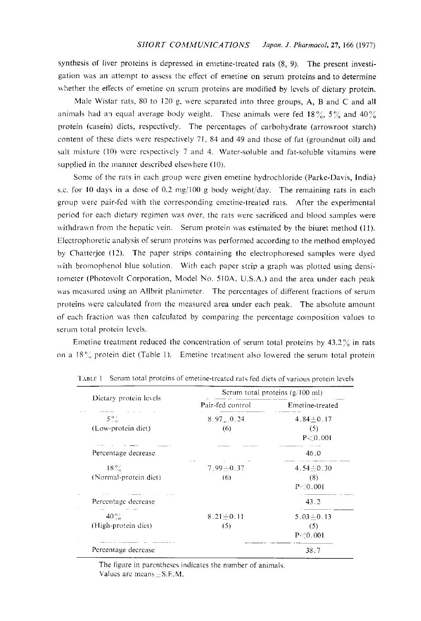synthesis of liver proteins is depressed in emetine-treated rats (8, 9). The present investi gation was an attempt to assess the effect of emetine on serum proteins and to determine whether the effects of emetine on serum proteins are modified by levels of dietary protein.

 Male Wistar rats, 80 to 120 g, were separated into three groups, A, B and C and all animals had an equal average body weight. These animals were fed 18%, 5% and 40% protein (casein) diets, respectively. The percentages of carbohydrate (arrowroot starch) content of these diets were respectively 71, 84 and 49 and those of fat (groundnut oil) and salt mixture (10) were respectively 7 and 4. Water-soluble and fat-soluble vitamins were supplied in the manner described elsewhere (10).

 Some of the rats in each group were given emetine hydrochloride (Parke-Davis, India) s.c. for 10 days in a dose of 0.2 mg/100 g body weight/day. The remaining rats in each group were pair-fed with the corresponding emetine-treated rats. After the experimental period for each dietary regimen was over, the rats were sacrificed and blood samples were withdrawn from the hepatic vein. Serum protein was estimated by the biuret method (11). Electrophoretic analysis of serum proteins was performed according to the method employed by Chatterjee (12). The paper strips containing the electrophoresed samples were dyed with bromophenol blue solution. With each paper strip a graph was plotted using densi tometer (Photovolt Corporation, Model No. 510A, U.S.A.) and the area under each peak was measured using an Allbrit planimeter. The percentages of different fractions of serum proteins were calculated from the measured area under each peak. The absolute amount of each fraction was then calculated by comparing the percentage composition values to serum total protein levels.

Emetine treatment reduced the concentration of serum total proteins by  $43.2\%$  in rats on a  $18\%$  protein diet (Table 1). Emetine treatment also lowered the serum total protein

| Dietary protein levels          | Serum total proteins $(g/100 \text{ ml})$ |                                   |  |
|---------------------------------|-------------------------------------------|-----------------------------------|--|
|                                 | Pair-fed control                          | Emetine-treated                   |  |
| $5\%$<br>(Low-protein diet)     | $8.97 \pm 0.24$<br>(6)                    | $4.84 \pm 0.17$<br>(5)            |  |
| Percentage decrease             |                                           | P < 0.001<br>46.0                 |  |
| $18\%$<br>(Normal-protein diet) | $7.99 \pm 0.37$<br>(6)                    | $4.54 - 0.30$<br>(8)<br>P < 0.001 |  |
| Percentage decrease             |                                           | 43.2                              |  |
| $-40\%$<br>(High-protein diet)  | $8.21 - 0.11$<br>(5)                      | $5.03 - 0.13$<br>(5)<br>P < 0.001 |  |
| Percentage decrease             |                                           | 38.7                              |  |

TABLE. I Serum total proteins of emetine-treated rats fed diets of various protein levels

The figure in parentheses indicates the number of animals. Values are means  $\pm$  S.E.M.